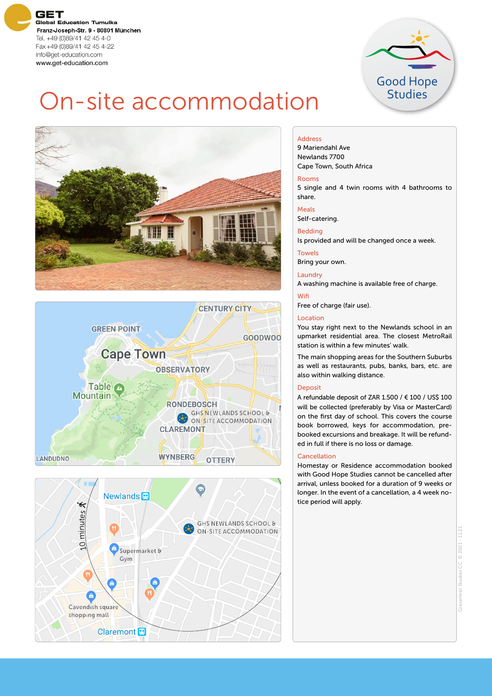**GET Global Education Tumulka** Franz-Joseph-Str. 9 - 80801 München Tel. +49 (0)89/41 42 45 4-0 Fax+49 (0)89/41 42 45 4-22 info@get-education.com www.get-education.com



# On-site accommodation







### Address

9 Mariendahl Ave Newlands 7700 Cape Town, South Africa

### Rooms

5 single and 4 twin rooms with 4 bathrooms to share.

### Meals

Self-catering.

# Bedding

Is provided and will be changed once a week.

### Towels

Bring your own.

### Laundry

A washing machine is available free of charge.

### **Wifi**

Free of charge (fair use).

### Location

You stay right next to the Newlands school in an upmarket residential area. The closest MetroRail station is within a few minutes' walk.

The main shopping areas for the Southern Suburbs as well as restaurants, pubs, banks, bars, etc. are also within walking distance.

### Deposit

A refundable deposit of ZAR 1.500 / € 100 / US\$ 100 will be collected (preferably by Visa or MasterCard) on the first day of school. This covers the course book borrowed, keys for accommodation, prebooked excursions and breakage. It will be refunded in full if there is no loss or damage.

### Cancellation

Homestay or Residence accommodation booked with Good Hope Studies cannot be cancelled after arrival, unless booked for a duration of 9 weeks or longer. In the event of a cancellation, a 4 week notice period will apply.